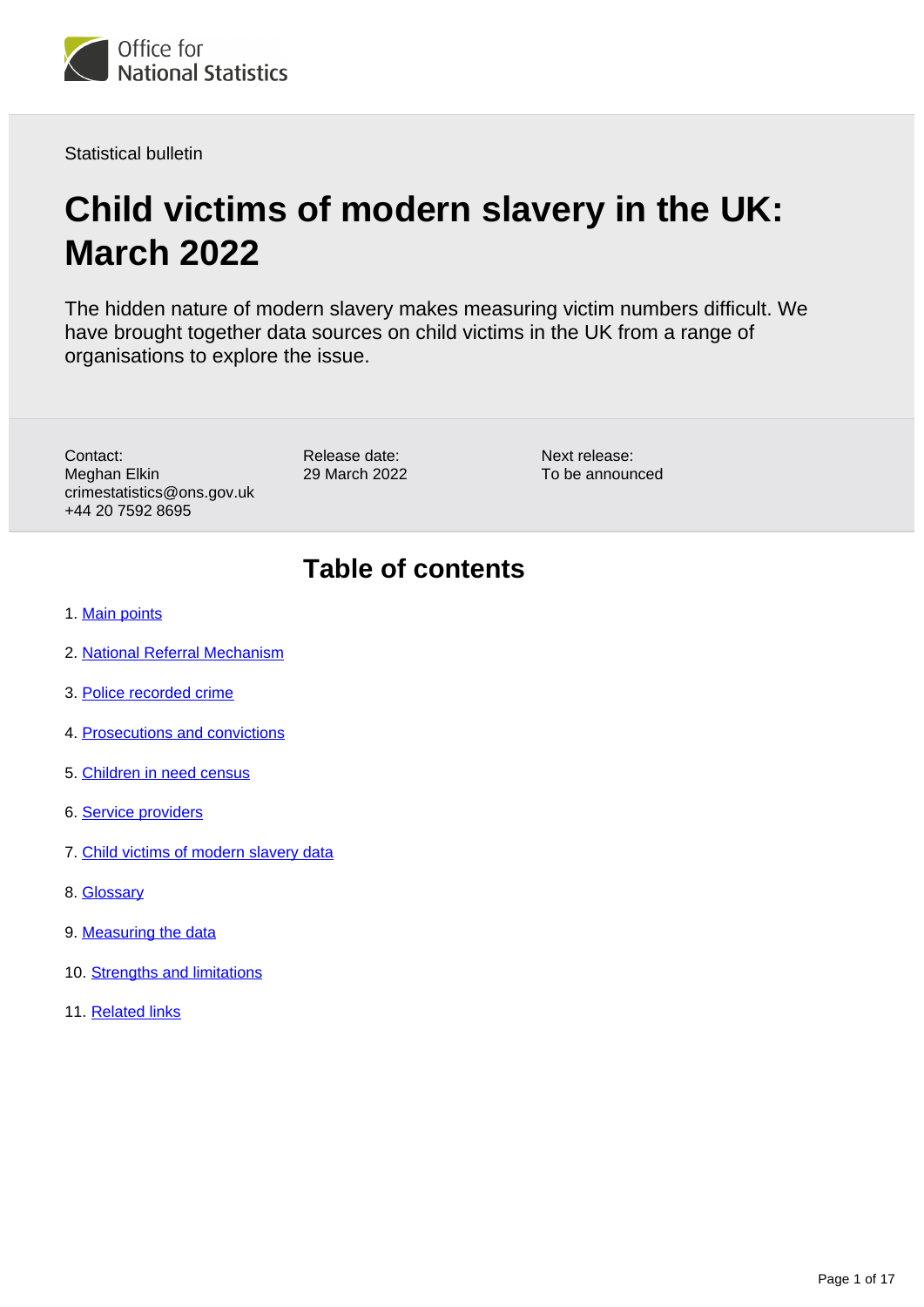

Statistical bulletin

# **Child victims of modern slavery in the UK: March 2022**

The hidden nature of modern slavery makes measuring victim numbers difficult. We have brought together data sources on child victims in the UK from a range of organisations to explore the issue.

Contact: Meghan Elkin crimestatistics@ons.gov.uk +44 20 7592 8695

Release date: 29 March 2022 Next release: To be announced

## **Table of contents**

- 1. [Main points](#page-1-0)
- 2. [National Referral Mechanism](#page-3-0)
- 3. [Police recorded crime](#page-5-0)
- 4. [Prosecutions and convictions](#page-7-0)
- 5. [Children in need census](#page-8-0)
- 6. [Service providers](#page-10-0)
- 7. [Child victims of modern slavery data](#page-14-0)
- 8. [Glossary](#page-14-1)
- 9. [Measuring the data](#page-14-2)
- 10. [Strengths and limitations](#page-16-0)
- 11. [Related links](#page-16-1)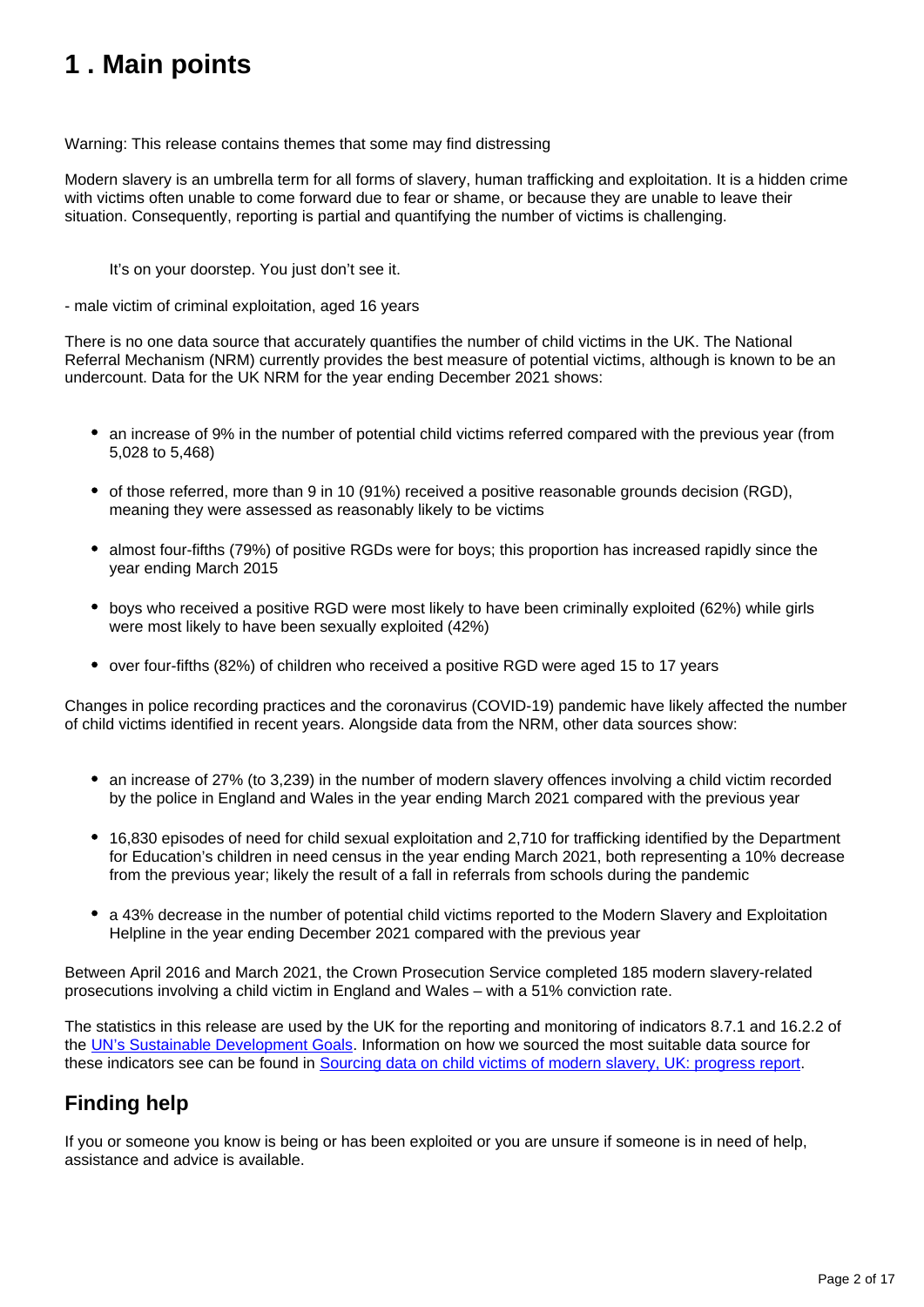# <span id="page-1-0"></span>**1 . Main points**

Warning: This release contains themes that some may find distressing

Modern slavery is an umbrella term for all forms of slavery, human trafficking and exploitation. It is a hidden crime with victims often unable to come forward due to fear or shame, or because they are unable to leave their situation. Consequently, reporting is partial and quantifying the number of victims is challenging.

It's on your doorstep. You just don't see it.

- male victim of criminal exploitation, aged 16 years

There is no one data source that accurately quantifies the number of child victims in the UK. The National Referral Mechanism (NRM) currently provides the best measure of potential victims, although is known to be an undercount. Data for the UK NRM for the year ending December 2021 shows:

- an increase of 9% in the number of potential child victims referred compared with the previous year (from 5,028 to 5,468)
- of those referred, more than 9 in 10 (91%) received a positive reasonable grounds decision (RGD), meaning they were assessed as reasonably likely to be victims
- almost four-fifths (79%) of positive RGDs were for boys; this proportion has increased rapidly since the year ending March 2015
- boys who received a positive RGD were most likely to have been criminally exploited (62%) while girls were most likely to have been sexually exploited (42%)
- over four-fifths (82%) of children who received a positive RGD were aged 15 to 17 years

Changes in police recording practices and the coronavirus (COVID-19) pandemic have likely affected the number of child victims identified in recent years. Alongside data from the NRM, other data sources show:

- an increase of 27% (to 3,239) in the number of modern slavery offences involving a child victim recorded by the police in England and Wales in the year ending March 2021 compared with the previous year
- 16,830 episodes of need for child sexual exploitation and 2,710 for trafficking identified by the Department for Education's children in need census in the year ending March 2021, both representing a 10% decrease from the previous year; likely the result of a fall in referrals from schools during the pandemic
- a 43% decrease in the number of potential child victims reported to the Modern Slavery and Exploitation Helpline in the year ending December 2021 compared with the previous year

Between April 2016 and March 2021, the Crown Prosecution Service completed 185 modern slavery-related prosecutions involving a child victim in England and Wales – with a 51% conviction rate.

The statistics in this release are used by the UK for the reporting and monitoring of indicators 8.7.1 and 16.2.2 of the [UN's Sustainable Development Goals.](https://www.un.org/sustainabledevelopment/sustainable-development-goals/) Information on how we sourced the most suitable data source for these indicators see can be found in [Sourcing data on child victims of modern slavery, UK: progress report](https://www.ons.gov.uk/peoplepopulationandcommunity/crimeandjustice/articles/sourcingdataonchildvictimsofmodernslaveryukprogressreport/2022-03-29).

## **Finding help**

If you or someone you know is being or has been exploited or you are unsure if someone is in need of help, assistance and advice is available.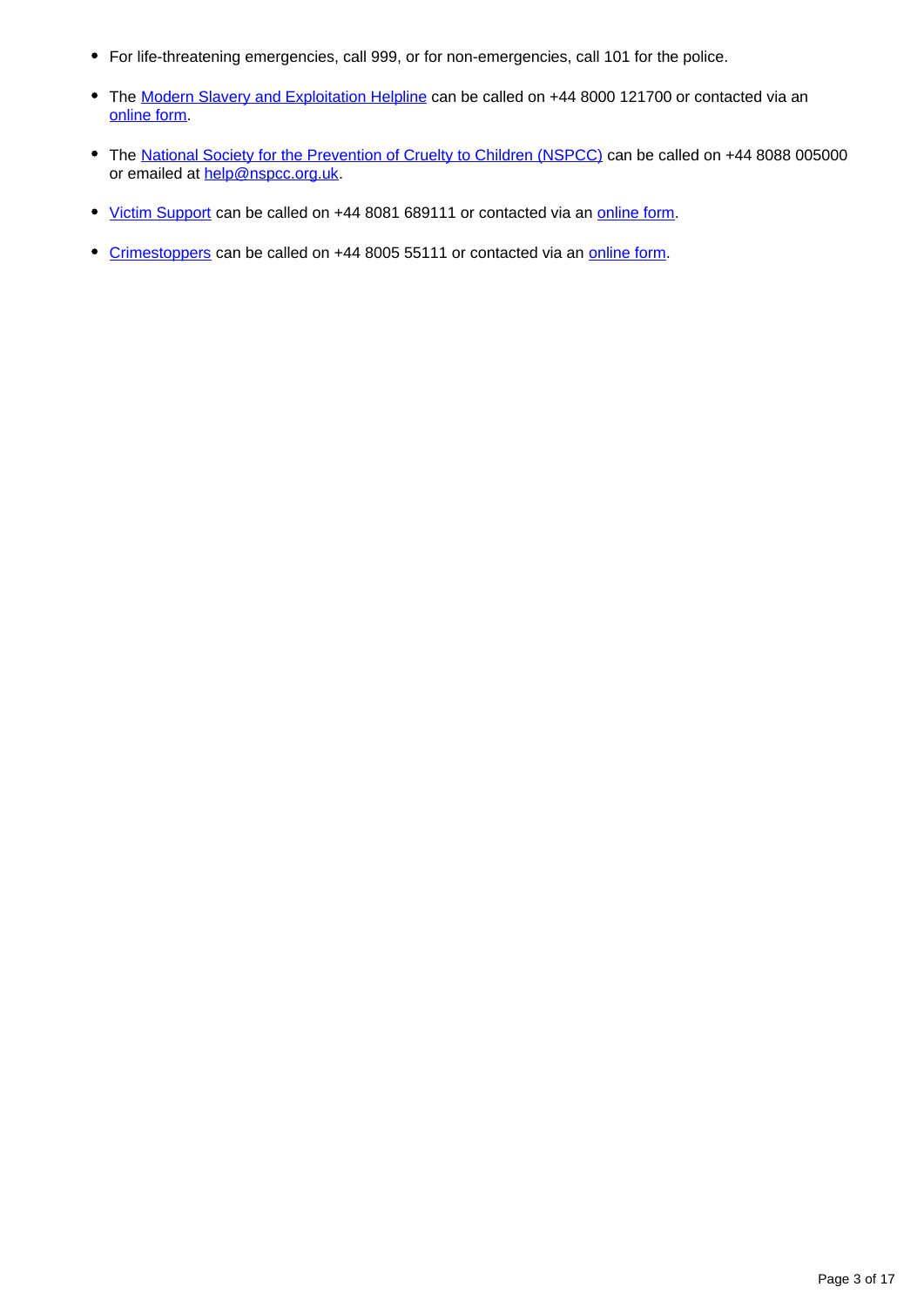- For life-threatening emergencies, call 999, or for non-emergencies, call 101 for the police.
- The [Modern Slavery and Exploitation Helpline](https://www.modernslaveryhelpline.org/) can be called on +44 8000 121700 or contacted via an [online form](https://www.modernslaveryhelpline.org/report).
- The [National Society for the Prevention of Cruelty to Children \(NSPCC\)](https://www.nspcc.org.uk/) can be called on +44 8088 005000 or emailed at [help@nspcc.org.uk](mailto:help@nspcc.org.uk).
- [Victim Support](http://www.victimsupport.org.uk/) can be called on +44 8081 689111 or contacted via an [online form.](https://www.victimsupport.org.uk/help-and-support/get-help/request-support)
- [Crimestoppers](https://crimestoppers-uk.org/) can be called on +44 8005 55111 or contacted via an [online form](https://crimestoppers-uk.org/give-information/forms/pre-form).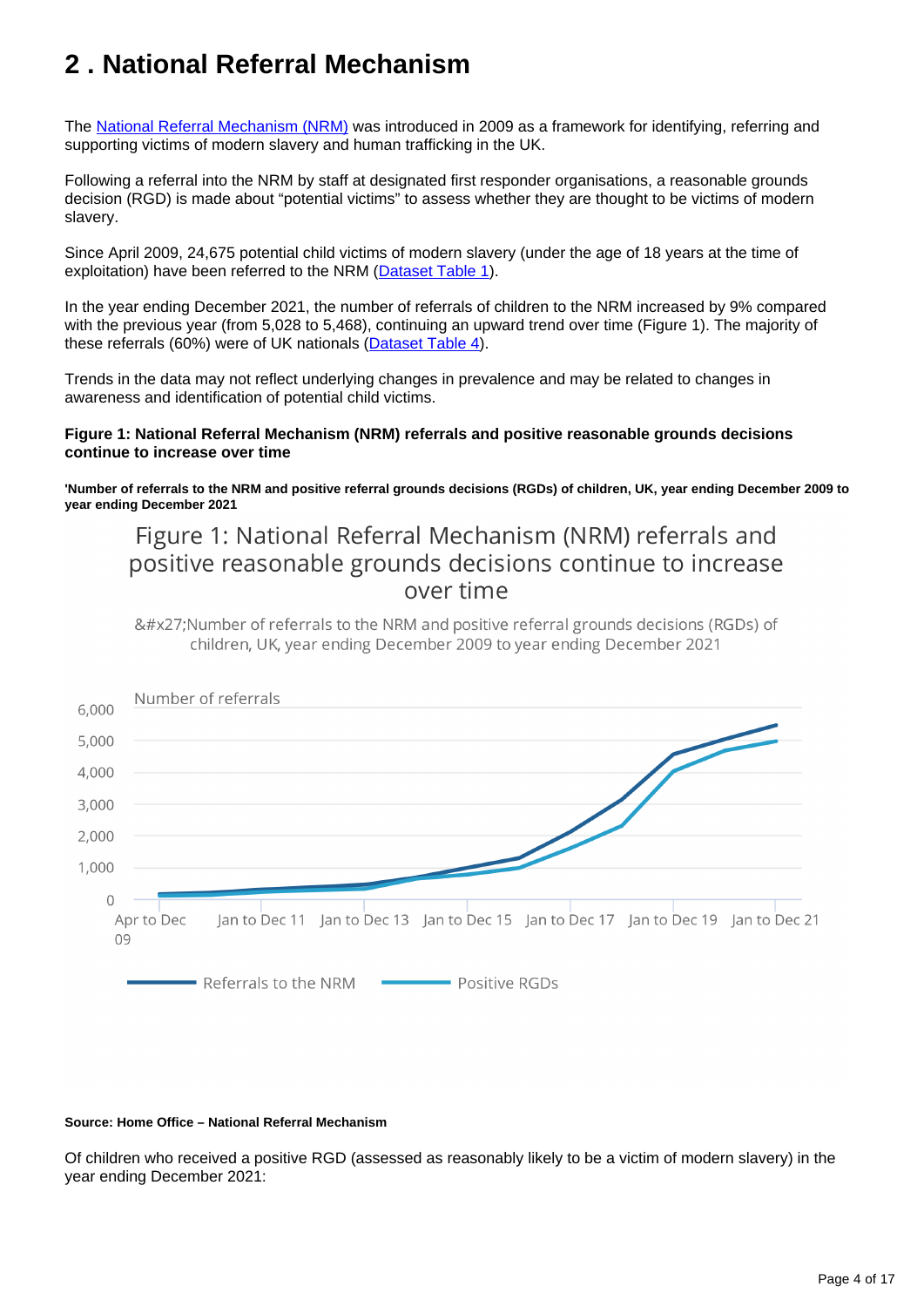# <span id="page-3-0"></span>**2 . National Referral Mechanism**

The [National Referral Mechanism \(NRM\)](https://www.gov.uk/government/publications/human-trafficking-victims-referral-and-assessment-forms/guidance-on-the-national-referral-mechanism-for-potential-adult-victims-of-modern-slavery-england-and-wales) was introduced in 2009 as a framework for identifying, referring and supporting victims of modern slavery and human trafficking in the UK.

Following a referral into the NRM by staff at designated first responder organisations, a reasonable grounds decision (RGD) is made about "potential victims" to assess whether they are thought to be victims of modern slavery.

Since April 2009, 24,675 potential child victims of modern slavery (under the age of 18 years at the time of exploitation) have been referred to the NRM [\(Dataset Table 1](https://www.ons.gov.uk/peoplepopulationandcommunity/crimeandjustice/datasets/childvictimsofmodernslaveryintheuk)).

In the year ending December 2021, the number of referrals of children to the NRM increased by 9% compared with the previous year (from 5,028 to 5,468), continuing an upward trend over time (Figure 1). The majority of these referrals (60%) were of UK nationals ([Dataset Table 4](https://www.ons.gov.uk/peoplepopulationandcommunity/crimeandjustice/datasets/childvictimsofmodernslaveryintheuk)).

Trends in the data may not reflect underlying changes in prevalence and may be related to changes in awareness and identification of potential child victims.

### **Figure 1: National Referral Mechanism (NRM) referrals and positive reasonable grounds decisions continue to increase over time**

**'Number of referrals to the NRM and positive referral grounds decisions (RGDs) of children, UK, year ending December 2009 to year ending December 2021**

## Figure 1: National Referral Mechanism (NRM) referrals and positive reasonable grounds decisions continue to increase over time

'Number of referrals to the NRM and positive referral grounds decisions (RGDs) of children, UK, year ending December 2009 to year ending December 2021



#### **Source: Home Office – National Referral Mechanism**

Of children who received a positive RGD (assessed as reasonably likely to be a victim of modern slavery) in the year ending December 2021: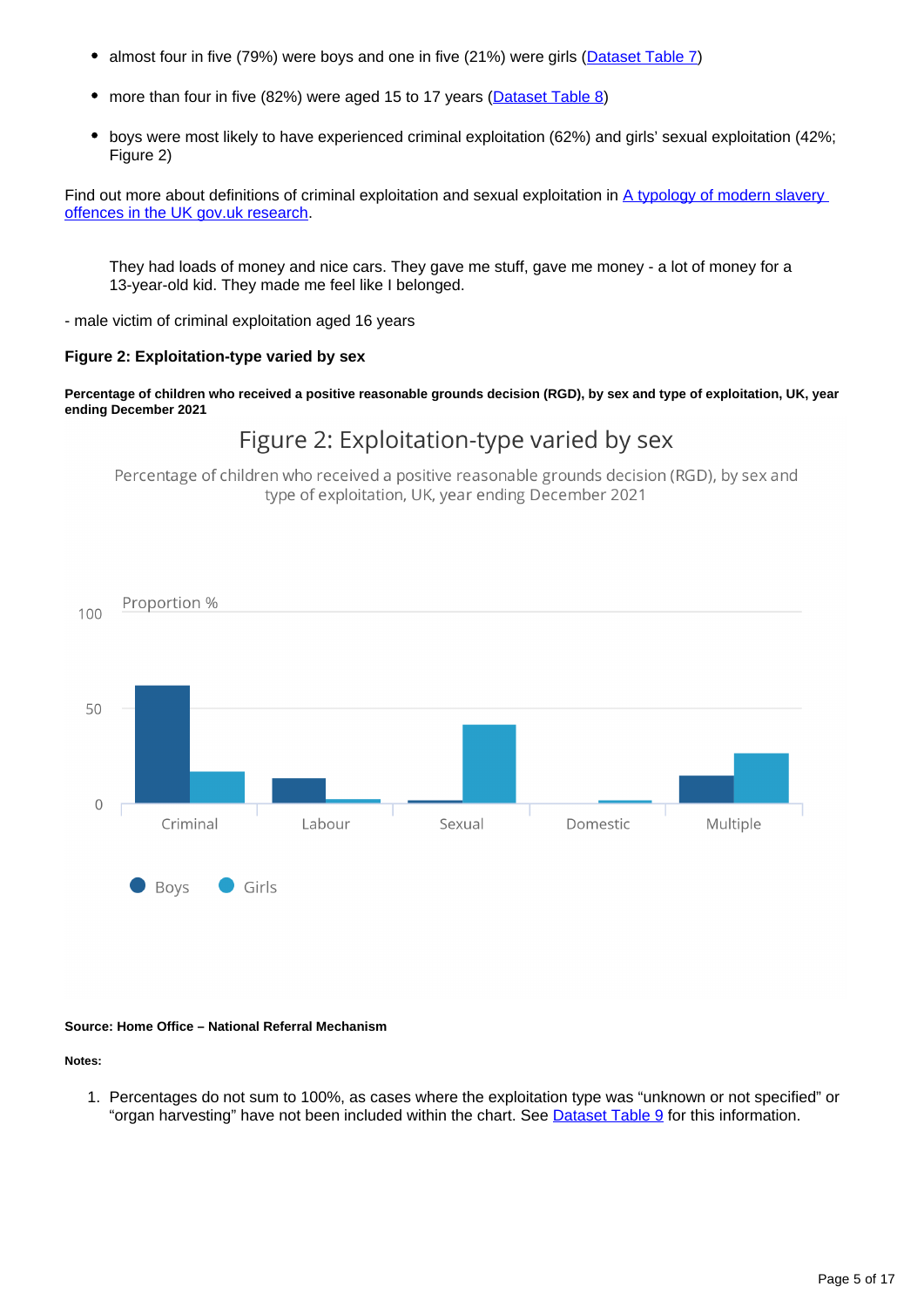- almost four in five (79%) were boys and one in five (21%) were girls [\(Dataset Table 7\)](https://www.ons.gov.uk/peoplepopulationandcommunity/crimeandjustice/datasets/childvictimsofmodernslaveryintheuk)
- more than four in five (82%) were aged 15 to 17 years ([Dataset Table 8](https://www.ons.gov.uk/peoplepopulationandcommunity/crimeandjustice/datasets/childvictimsofmodernslaveryintheuk))
- boys were most likely to have experienced criminal exploitation (62%) and girls' sexual exploitation (42%; Figure 2)

Find out more about definitions of criminal exploitation and sexual exploitation in A typology of modern slavery [offences in the UK gov.uk research.](https://www.gov.uk/government/publications/a-typology-of-modern-slavery-offences-in-the-uk)

They had loads of money and nice cars. They gave me stuff, gave me money - a lot of money for a 13-year-old kid. They made me feel like I belonged.

- male victim of criminal exploitation aged 16 years

### **Figure 2: Exploitation-type varied by sex**

**Percentage of children who received a positive reasonable grounds decision (RGD), by sex and type of exploitation, UK, year ending December 2021**

### Figure 2: Exploitation-type varied by sex

Percentage of children who received a positive reasonable grounds decision (RGD), by sex and type of exploitation, UK, year ending December 2021



#### **Source: Home Office – National Referral Mechanism**

#### **Notes:**

1. Percentages do not sum to 100%, as cases where the exploitation type was "unknown or not specified" or "organ harvesting" have not been included within the chart. See [Dataset Table 9](https://www.ons.gov.uk/peoplepopulationandcommunity/crimeandjustice/datasets/childvictimsofmodernslaveryintheuk) for this information.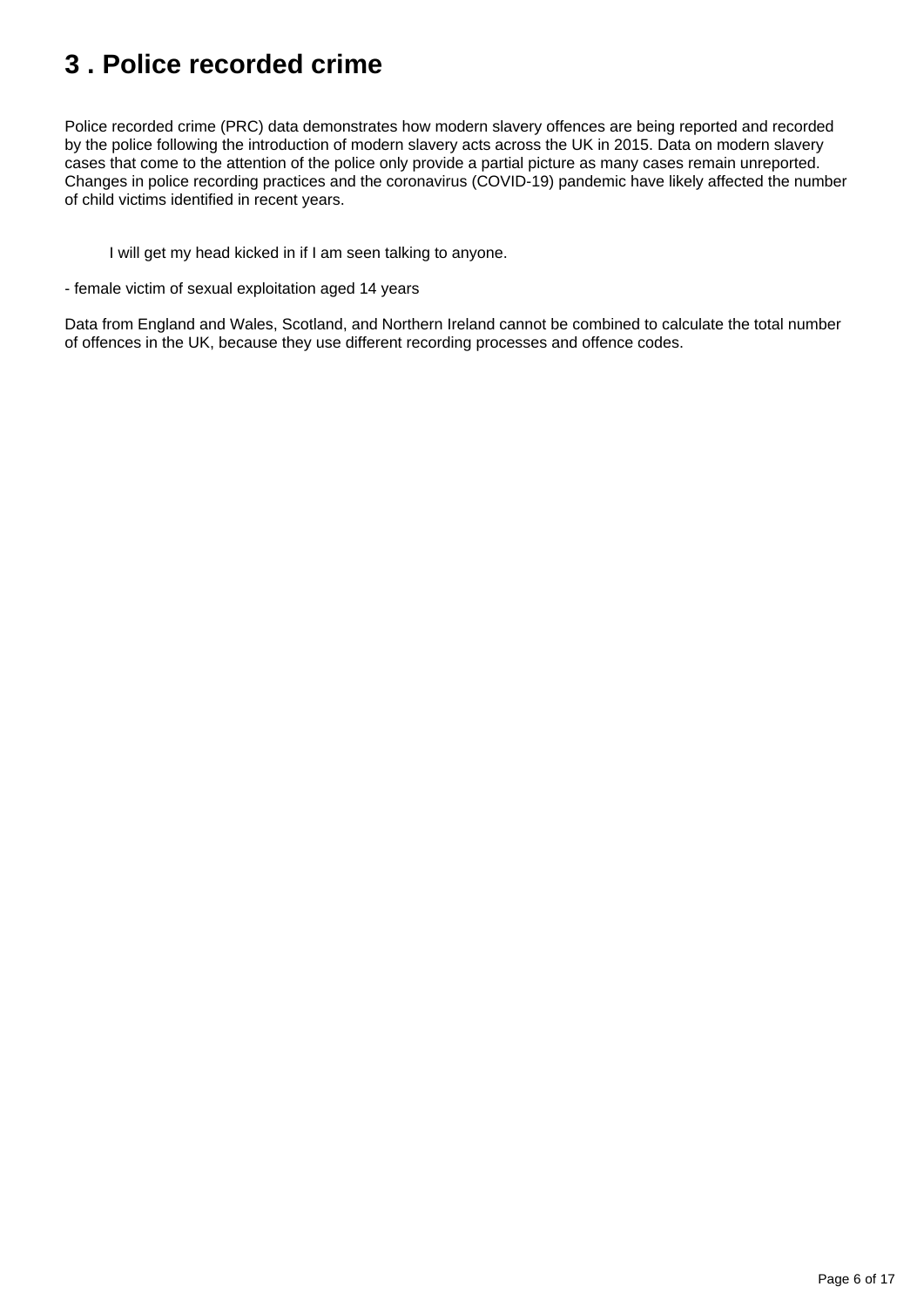# <span id="page-5-0"></span>**3 . Police recorded crime**

Police recorded crime (PRC) data demonstrates how modern slavery offences are being reported and recorded by the police following the introduction of modern slavery acts across the UK in 2015. Data on modern slavery cases that come to the attention of the police only provide a partial picture as many cases remain unreported. Changes in police recording practices and the coronavirus (COVID-19) pandemic have likely affected the number of child victims identified in recent years.

I will get my head kicked in if I am seen talking to anyone.

- female victim of sexual exploitation aged 14 years

Data from England and Wales, Scotland, and Northern Ireland cannot be combined to calculate the total number of offences in the UK, because they use different recording processes and offence codes.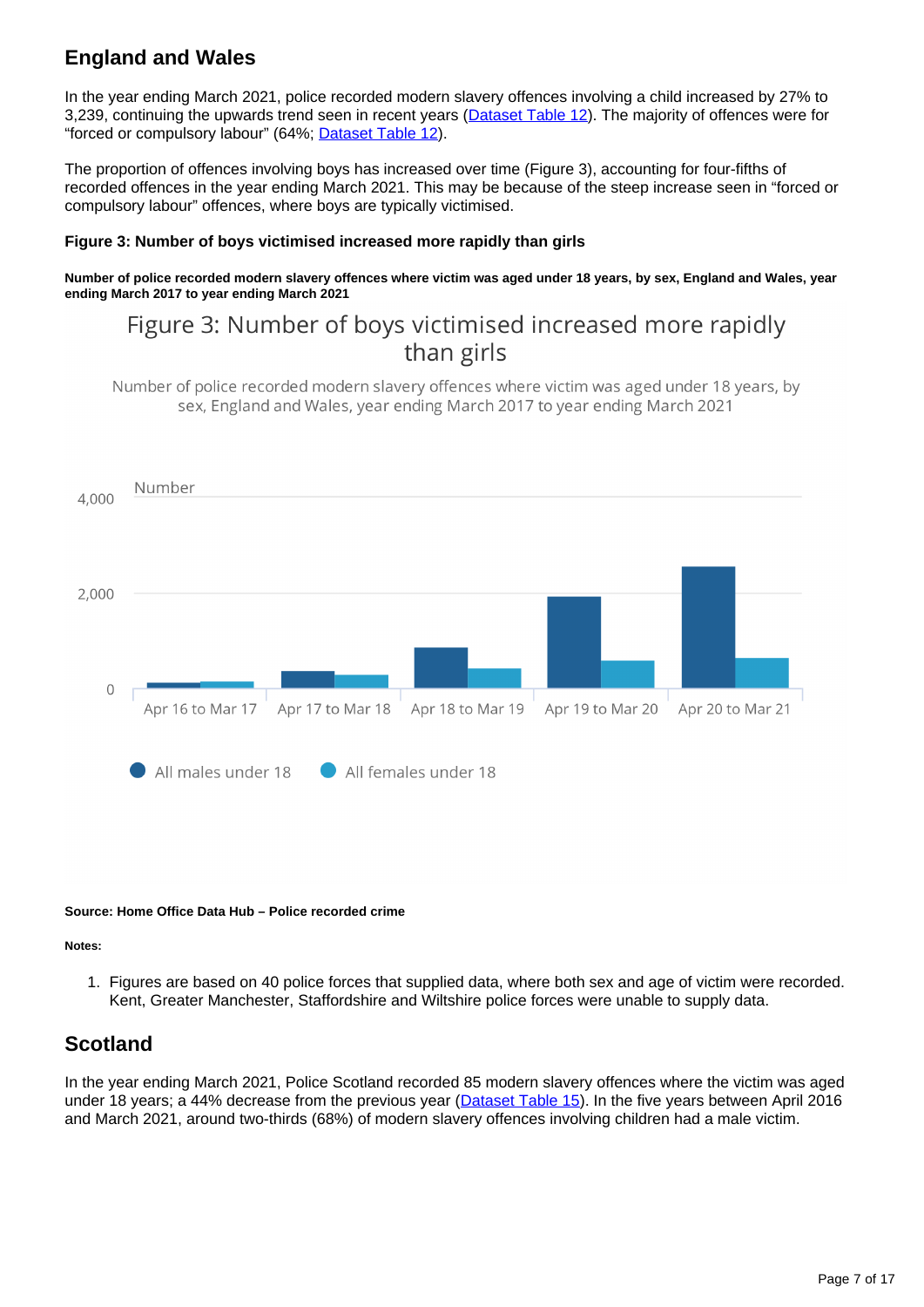## **England and Wales**

In the year ending March 2021, police recorded modern slavery offences involving a child increased by 27% to 3,239, continuing the upwards trend seen in recent years ([Dataset Table 12\)](https://www.ons.gov.uk/peoplepopulationandcommunity/crimeandjustice/datasets/childvictimsofmodernslaveryintheuk). The majority of offences were for "forced or compulsory labour" (64%; [Dataset Table 12](https://www.ons.gov.uk/peoplepopulationandcommunity/crimeandjustice/datasets/childvictimsofmodernslaveryintheuk)).

The proportion of offences involving boys has increased over time (Figure 3), accounting for four-fifths of recorded offences in the year ending March 2021. This may be because of the steep increase seen in "forced or compulsory labour" offences, where boys are typically victimised.

### **Figure 3: Number of boys victimised increased more rapidly than girls**

**Number of police recorded modern slavery offences where victim was aged under 18 years, by sex, England and Wales, year ending March 2017 to year ending March 2021**

## Figure 3: Number of boys victimised increased more rapidly than girls

Number of police recorded modern slavery offences where victim was aged under 18 years, by sex, England and Wales, year ending March 2017 to year ending March 2021



#### **Source: Home Office Data Hub – Police recorded crime**

#### **Notes:**

1. Figures are based on 40 police forces that supplied data, where both sex and age of victim were recorded. Kent, Greater Manchester, Staffordshire and Wiltshire police forces were unable to supply data.

### **Scotland**

In the year ending March 2021, Police Scotland recorded 85 modern slavery offences where the victim was aged under 18 years; a 44% decrease from the previous year ([Dataset Table 15\)](https://www.ons.gov.uk/peoplepopulationandcommunity/crimeandjustice/datasets/childvictimsofmodernslaveryintheuk). In the five years between April 2016 and March 2021, around two-thirds (68%) of modern slavery offences involving children had a male victim.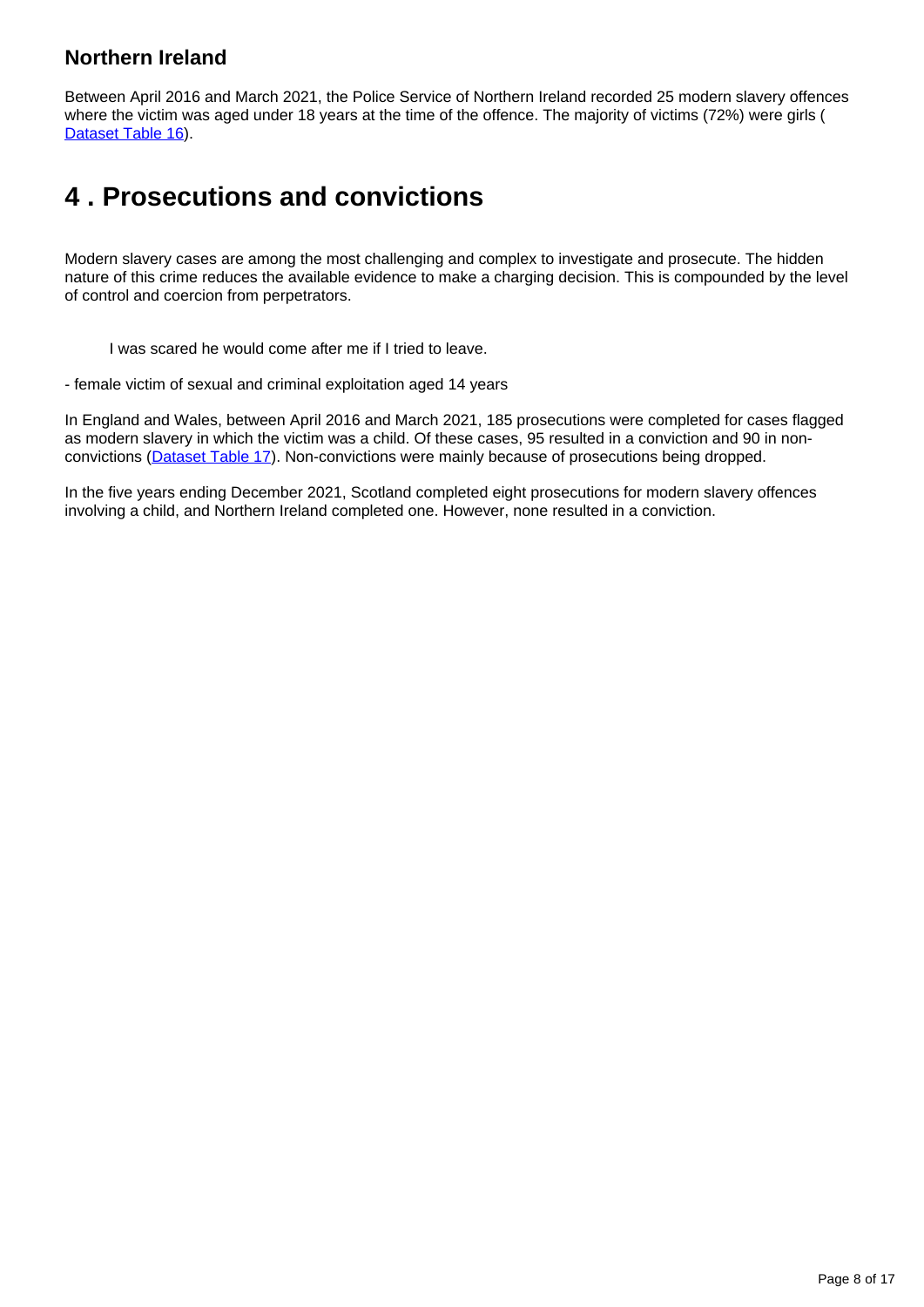### **Northern Ireland**

Between April 2016 and March 2021, the Police Service of Northern Ireland recorded 25 modern slavery offences where the victim was aged under 18 years at the time of the offence. The majority of victims (72%) were girls ( [Dataset Table 16\)](https://www.ons.gov.uk/peoplepopulationandcommunity/crimeandjustice/datasets/childvictimsofmodernslaveryintheuk).

## <span id="page-7-0"></span>**4 . Prosecutions and convictions**

Modern slavery cases are among the most challenging and complex to investigate and prosecute. The hidden nature of this crime reduces the available evidence to make a charging decision. This is compounded by the level of control and coercion from perpetrators.

I was scared he would come after me if I tried to leave.

- female victim of sexual and criminal exploitation aged 14 years

In England and Wales, between April 2016 and March 2021, 185 prosecutions were completed for cases flagged as modern slavery in which the victim was a child. Of these cases, 95 resulted in a conviction and 90 in nonconvictions ([Dataset Table 17\)](https://www.ons.gov.uk/peoplepopulationandcommunity/crimeandjustice/datasets/childvictimsofmodernslaveryintheuk). Non-convictions were mainly because of prosecutions being dropped.

In the five years ending December 2021, Scotland completed eight prosecutions for modern slavery offences involving a child, and Northern Ireland completed one. However, none resulted in a conviction.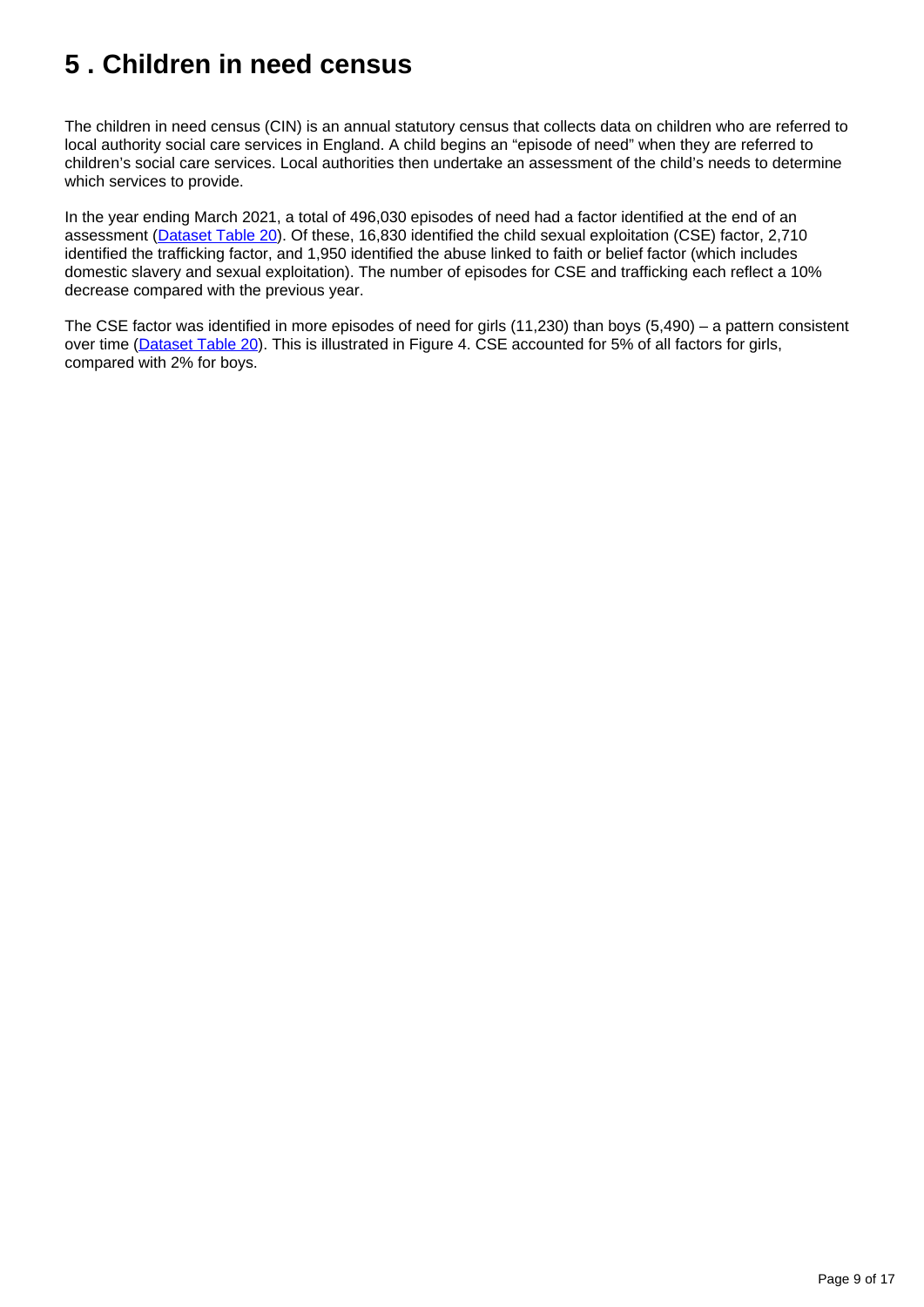# <span id="page-8-0"></span>**5 . Children in need census**

The children in need census (CIN) is an annual statutory census that collects data on children who are referred to local authority social care services in England. A child begins an "episode of need" when they are referred to children's social care services. Local authorities then undertake an assessment of the child's needs to determine which services to provide.

In the year ending March 2021, a total of 496,030 episodes of need had a factor identified at the end of an assessment ([Dataset Table 20\)](https://www.ons.gov.uk/peoplepopulationandcommunity/crimeandjustice/datasets/childvictimsofmodernslaveryintheuk). Of these, 16,830 identified the child sexual exploitation (CSE) factor, 2,710 identified the trafficking factor, and 1,950 identified the abuse linked to faith or belief factor (which includes domestic slavery and sexual exploitation). The number of episodes for CSE and trafficking each reflect a 10% decrease compared with the previous year.

The CSE factor was identified in more episodes of need for girls (11,230) than boys (5,490) – a pattern consistent over time ([Dataset Table 20](https://www.ons.gov.uk/peoplepopulationandcommunity/crimeandjustice/datasets/childvictimsofmodernslaveryintheuk)). This is illustrated in Figure 4. CSE accounted for 5% of all factors for girls, compared with 2% for boys.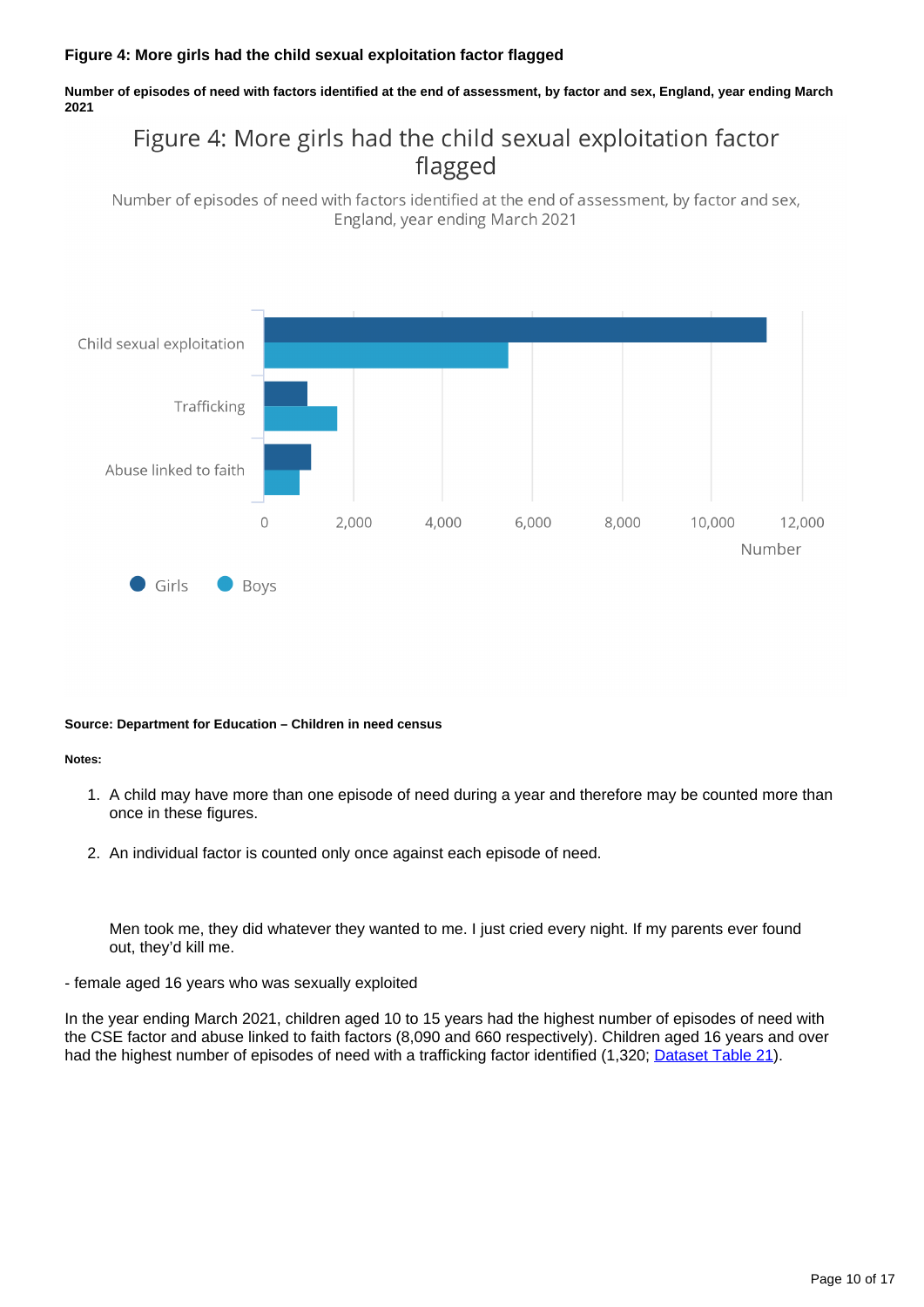### **Figure 4: More girls had the child sexual exploitation factor flagged**

**Number of episodes of need with factors identified at the end of assessment, by factor and sex, England, year ending March 2021**

## Figure 4: More girls had the child sexual exploitation factor flagged

Number of episodes of need with factors identified at the end of assessment, by factor and sex, England, year ending March 2021



#### **Source: Department for Education – Children in need census**

#### **Notes:**

- 1. A child may have more than one episode of need during a year and therefore may be counted more than once in these figures.
- 2. An individual factor is counted only once against each episode of need.

Men took me, they did whatever they wanted to me. I just cried every night. If my parents ever found out, they'd kill me.

- female aged 16 years who was sexually exploited

In the year ending March 2021, children aged 10 to 15 years had the highest number of episodes of need with the CSE factor and abuse linked to faith factors (8,090 and 660 respectively). Children aged 16 years and over had the highest number of episodes of need with a trafficking factor identified (1,320; [Dataset Table 21](https://www.ons.gov.uk/peoplepopulationandcommunity/crimeandjustice/datasets/childvictimsofmodernslaveryintheuk)).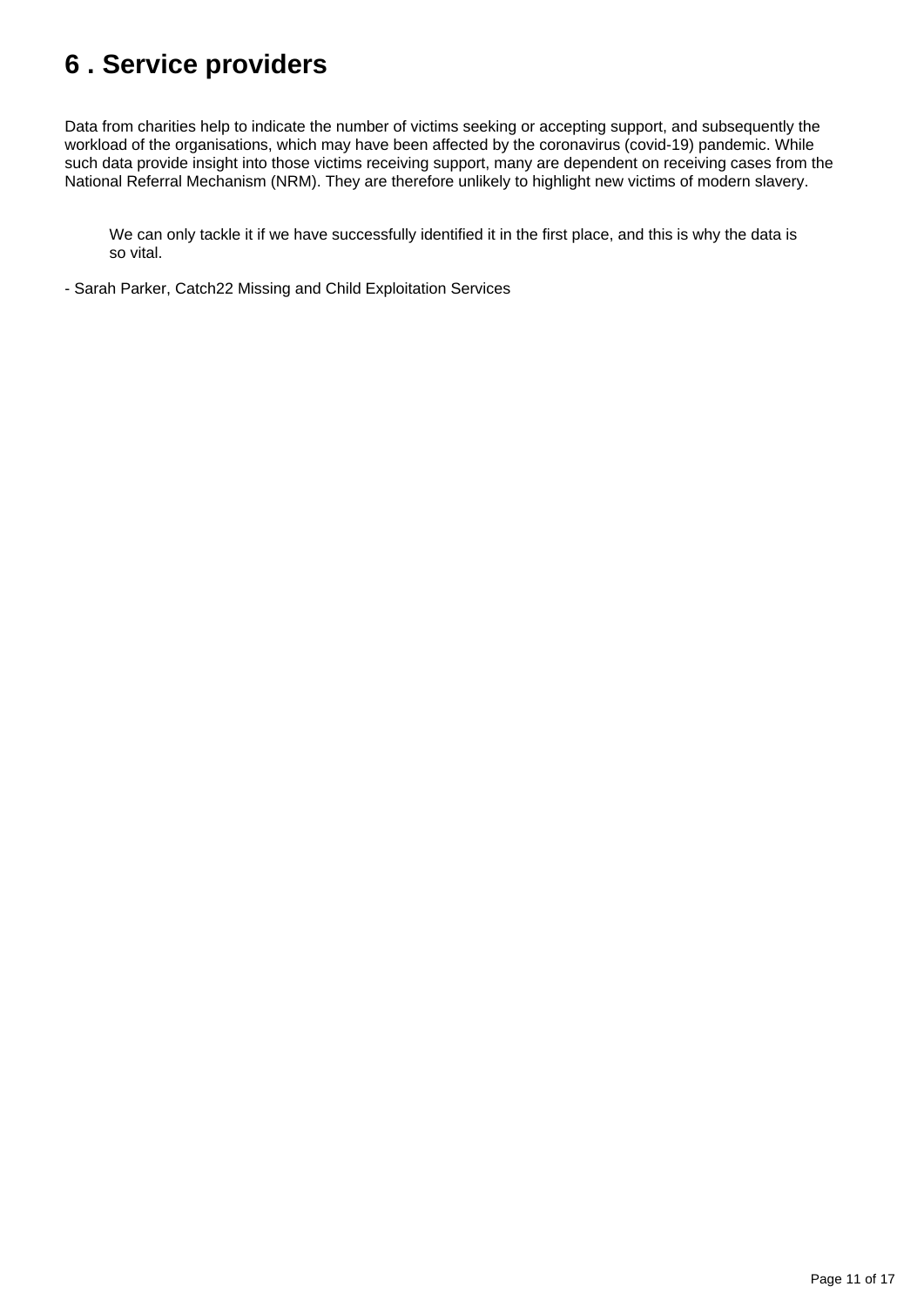# <span id="page-10-0"></span>**6 . Service providers**

Data from charities help to indicate the number of victims seeking or accepting support, and subsequently the workload of the organisations, which may have been affected by the coronavirus (covid-19) pandemic. While such data provide insight into those victims receiving support, many are dependent on receiving cases from the National Referral Mechanism (NRM). They are therefore unlikely to highlight new victims of modern slavery.

We can only tackle it if we have successfully identified it in the first place, and this is why the data is so vital.

- Sarah Parker, Catch22 Missing and Child Exploitation Services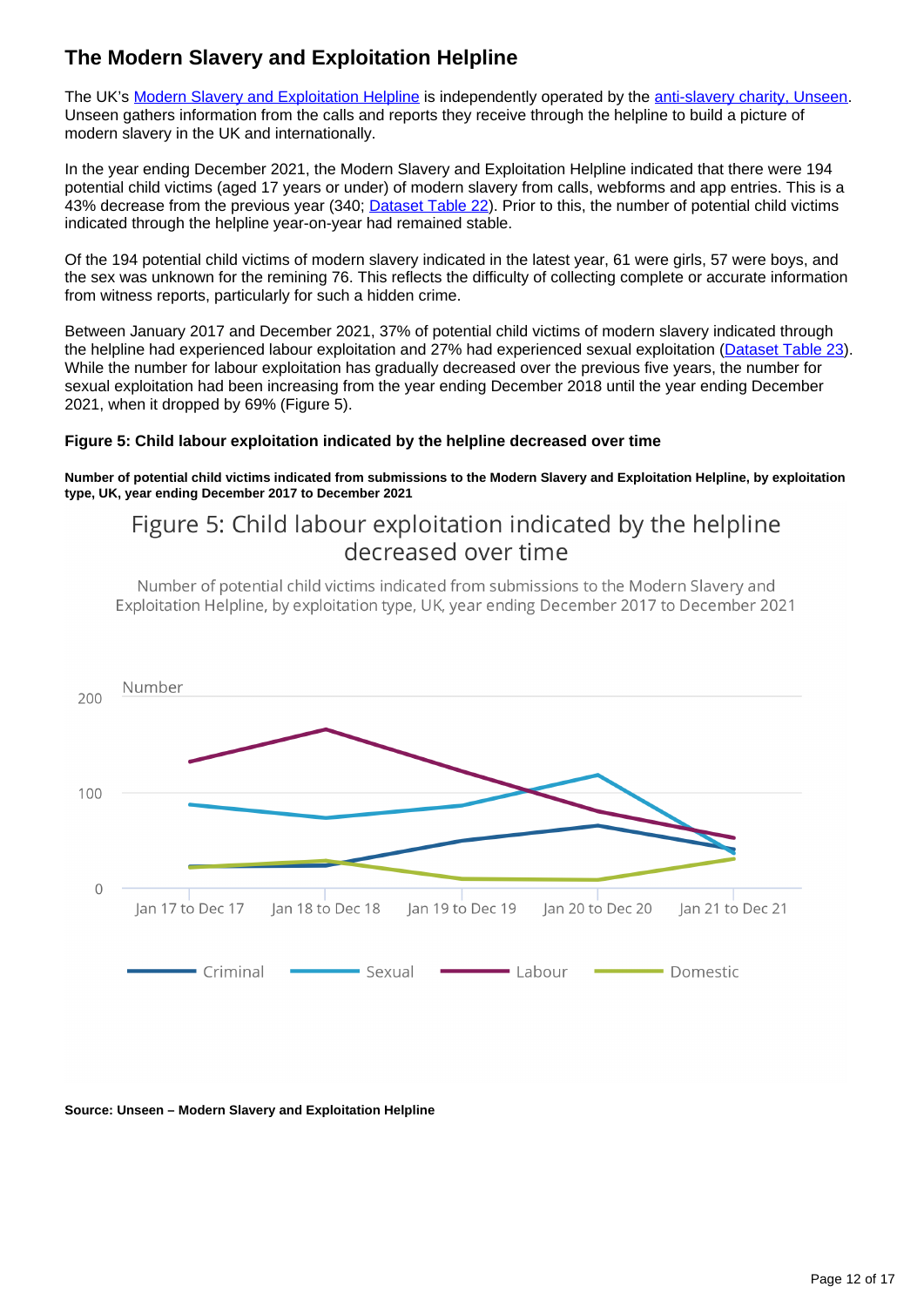### **The Modern Slavery and Exploitation Helpline**

The UK's [Modern Slavery and Exploitation Helpline](https://www.modernslaveryhelpline.org/) is independently operated by the [anti-slavery charity, Unseen](https://www.unseenuk.org/). Unseen gathers information from the calls and reports they receive through the helpline to build a picture of modern slavery in the UK and internationally.

In the year ending December 2021, the Modern Slavery and Exploitation Helpline indicated that there were 194 potential child victims (aged 17 years or under) of modern slavery from calls, webforms and app entries. This is a 43% decrease from the previous year (340; [Dataset Table 22\)](https://www.ons.gov.uk/peoplepopulationandcommunity/crimeandjustice/datasets/childvictimsofmodernslaveryintheuk). Prior to this, the number of potential child victims indicated through the helpline year-on-year had remained stable.

Of the 194 potential child victims of modern slavery indicated in the latest year, 61 were girls, 57 were boys, and the sex was unknown for the remining 76. This reflects the difficulty of collecting complete or accurate information from witness reports, particularly for such a hidden crime.

Between January 2017 and December 2021, 37% of potential child victims of modern slavery indicated through the helpline had experienced labour exploitation and 27% had experienced sexual exploitation [\(Dataset Table 23\)](https://www.ons.gov.uk/peoplepopulationandcommunity/crimeandjustice/datasets/childvictimsofmodernslaveryintheuk). While the number for labour exploitation has gradually decreased over the previous five years, the number for sexual exploitation had been increasing from the year ending December 2018 until the year ending December 2021, when it dropped by 69% (Figure 5).

### **Figure 5: Child labour exploitation indicated by the helpline decreased over time**

**Number of potential child victims indicated from submissions to the Modern Slavery and Exploitation Helpline, by exploitation type, UK, year ending December 2017 to December 2021**

## Figure 5: Child labour exploitation indicated by the helpline decreased over time

Number of potential child victims indicated from submissions to the Modern Slavery and Exploitation Helpline, by exploitation type, UK, year ending December 2017 to December 2021



#### **Source: Unseen – Modern Slavery and Exploitation Helpline**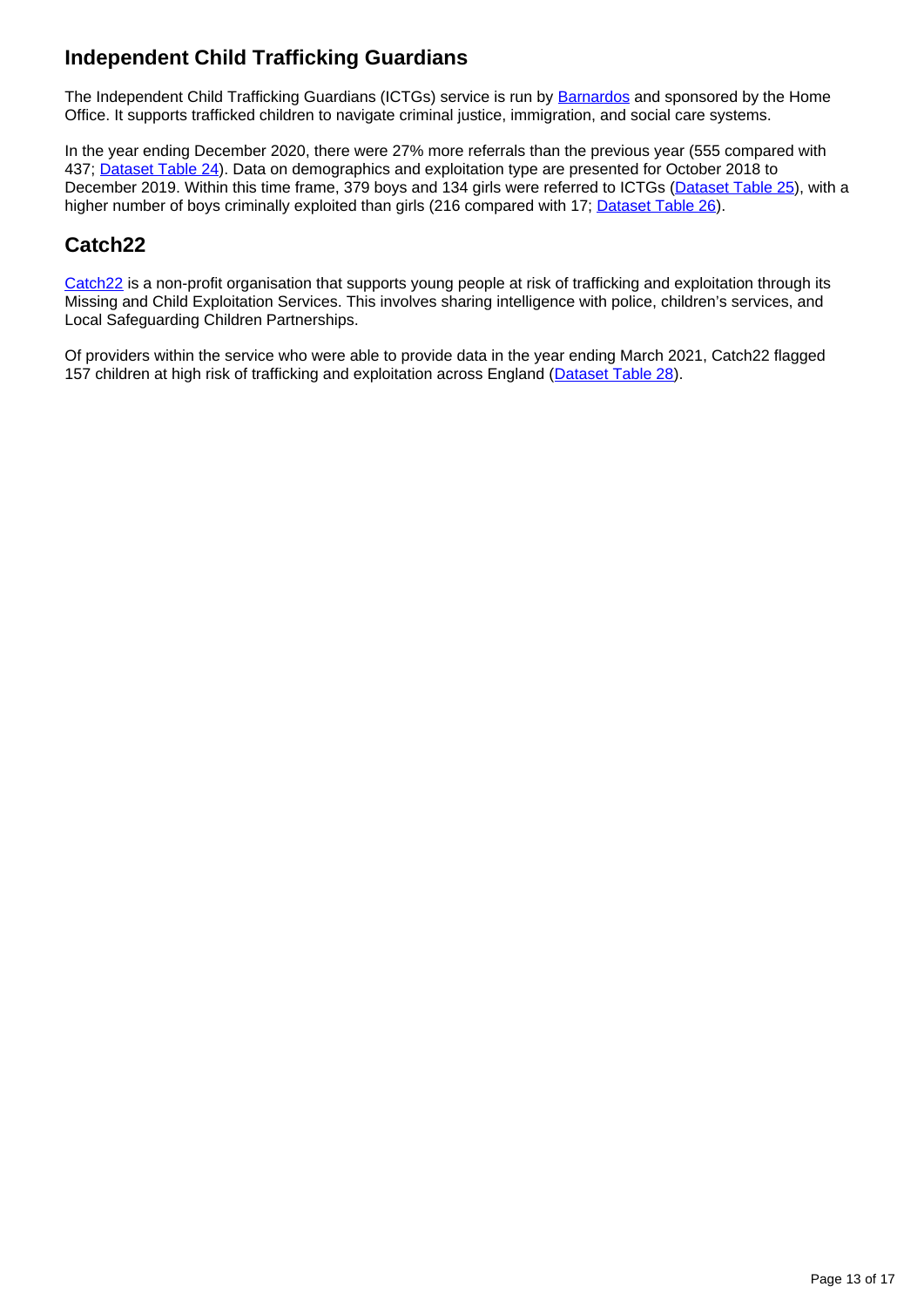## **Independent Child Trafficking Guardians**

The Independent Child Trafficking Guardians (ICTGs) service is run by [Barnardos](https://www.barnardos.org.uk/) and sponsored by the Home Office. It supports trafficked children to navigate criminal justice, immigration, and social care systems.

In the year ending December 2020, there were 27% more referrals than the previous year (555 compared with 437; [Dataset Table 24](https://www.ons.gov.uk/peoplepopulationandcommunity/crimeandjustice/datasets/childvictimsofmodernslaveryintheuk)). Data on demographics and exploitation type are presented for October 2018 to December 2019. Within this time frame, 379 boys and 134 girls were referred to ICTGs [\(Dataset Table 25\)](https://www.ons.gov.uk/peoplepopulationandcommunity/crimeandjustice/datasets/childvictimsofmodernslaveryintheuk), with a higher number of boys criminally exploited than girls (216 compared with 17; [Dataset Table 26\)](https://www.ons.gov.uk/peoplepopulationandcommunity/crimeandjustice/datasets/childvictimsofmodernslaveryintheuk).

### **Catch22**

[Catch22](https://www.catch-22.org.uk/) is a non-profit organisation that supports young people at risk of trafficking and exploitation through its Missing and Child Exploitation Services. This involves sharing intelligence with police, children's services, and Local Safeguarding Children Partnerships.

Of providers within the service who were able to provide data in the year ending March 2021, Catch22 flagged 157 children at high risk of trafficking and exploitation across England [\(Dataset Table 28](https://www.ons.gov.uk/peoplepopulationandcommunity/crimeandjustice/datasets/childvictimsofmodernslaveryintheuk)).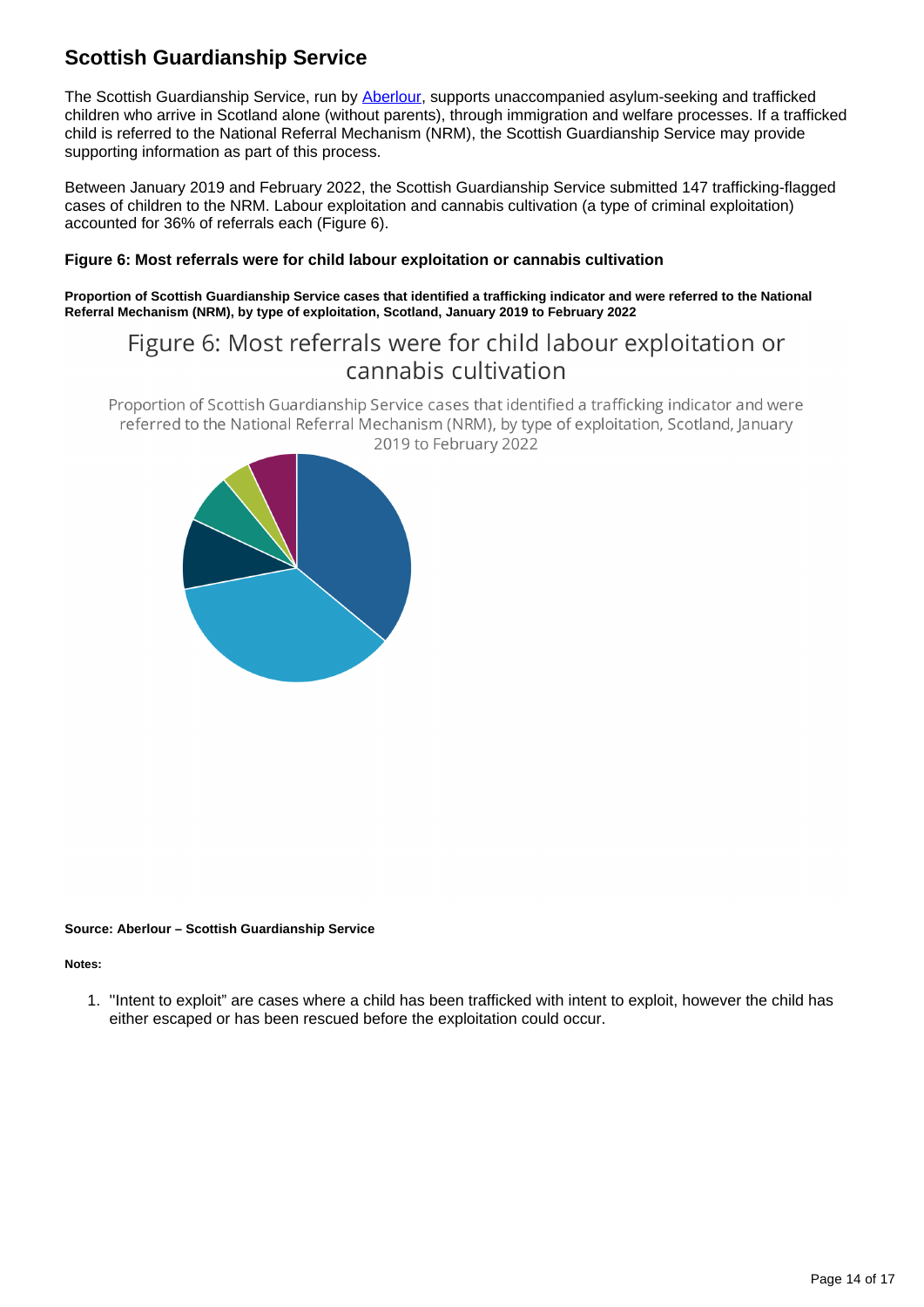## **Scottish Guardianship Service**

The Scottish Guardianship Service, run by [Aberlour,](https://www.aberlour.org.uk/) supports unaccompanied asylum-seeking and trafficked children who arrive in Scotland alone (without parents), through immigration and welfare processes. If a trafficked child is referred to the National Referral Mechanism (NRM), the Scottish Guardianship Service may provide supporting information as part of this process.

Between January 2019 and February 2022, the Scottish Guardianship Service submitted 147 trafficking-flagged cases of children to the NRM. Labour exploitation and cannabis cultivation (a type of criminal exploitation) accounted for 36% of referrals each (Figure 6).

### **Figure 6: Most referrals were for child labour exploitation or cannabis cultivation**

**Proportion of Scottish Guardianship Service cases that identified a trafficking indicator and were referred to the National Referral Mechanism (NRM), by type of exploitation, Scotland, January 2019 to February 2022**

## Figure 6: Most referrals were for child labour exploitation or cannabis cultivation

Proportion of Scottish Guardianship Service cases that identified a trafficking indicator and were referred to the National Referral Mechanism (NRM), by type of exploitation, Scotland, January 2019 to February 2022



#### **Source: Aberlour – Scottish Guardianship Service**

**Notes:**

1. ''Intent to exploit" are cases where a child has been trafficked with intent to exploit, however the child has either escaped or has been rescued before the exploitation could occur.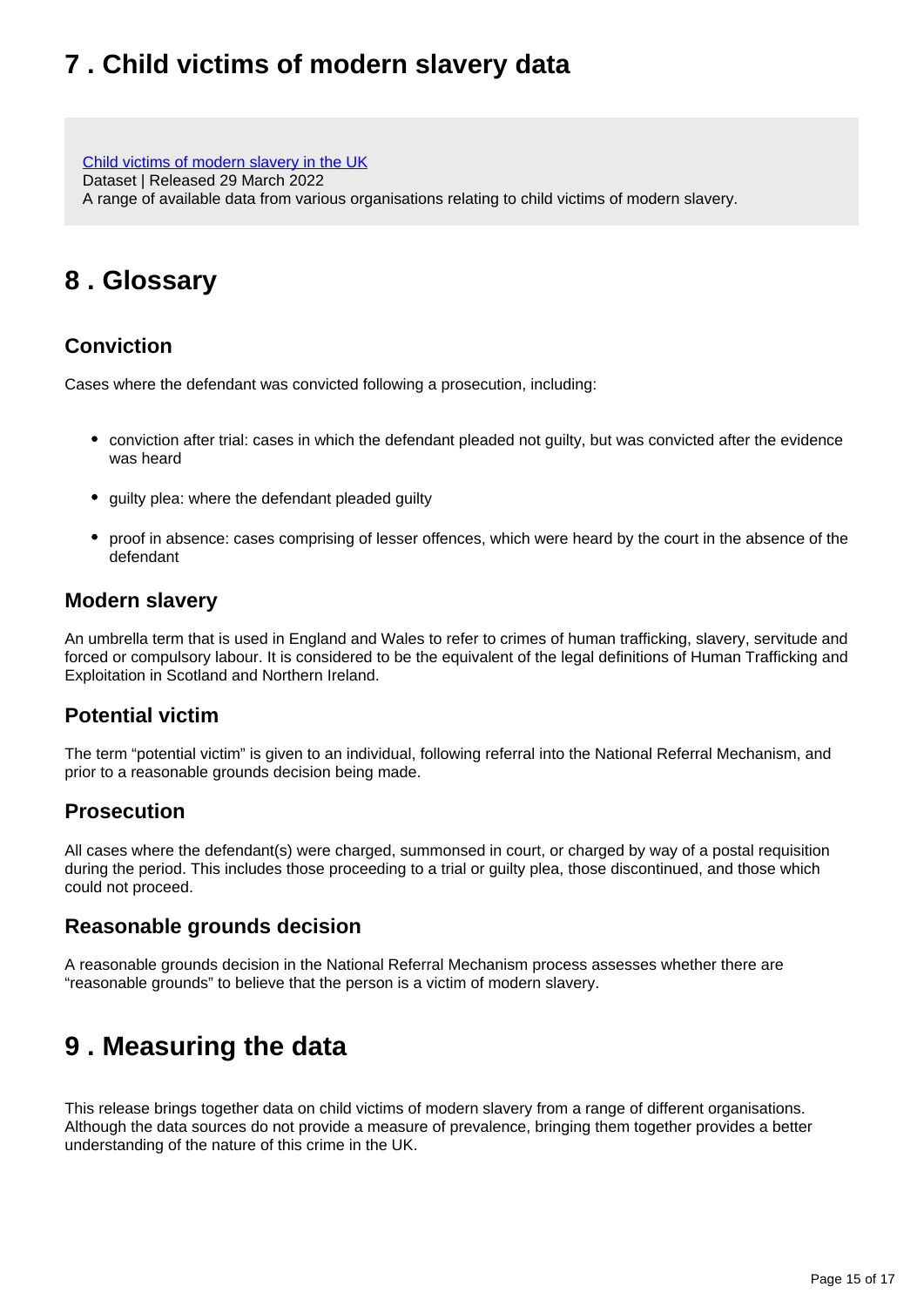# <span id="page-14-0"></span>**7 . Child victims of modern slavery data**

[Child victims of modern slavery in the UK](https://www.ons.gov.uk/peoplepopulationandcommunity/crimeandjustice/datasets/childvictimsofmodernslaveryintheuk) Dataset | Released 29 March 2022 A range of available data from various organisations relating to child victims of modern slavery.

## <span id="page-14-1"></span>**8 . Glossary**

### **Conviction**

Cases where the defendant was convicted following a prosecution, including:

- conviction after trial: cases in which the defendant pleaded not guilty, but was convicted after the evidence was heard
- guilty plea: where the defendant pleaded guilty
- proof in absence: cases comprising of lesser offences, which were heard by the court in the absence of the defendant

### **Modern slavery**

An umbrella term that is used in England and Wales to refer to crimes of human trafficking, slavery, servitude and forced or compulsory labour. It is considered to be the equivalent of the legal definitions of Human Trafficking and Exploitation in Scotland and Northern Ireland.

### **Potential victim**

The term "potential victim" is given to an individual, following referral into the National Referral Mechanism, and prior to a reasonable grounds decision being made.

### **Prosecution**

All cases where the defendant(s) were charged, summonsed in court, or charged by way of a postal requisition during the period. This includes those proceeding to a trial or guilty plea, those discontinued, and those which could not proceed.

### **Reasonable grounds decision**

A reasonable grounds decision in the National Referral Mechanism process assesses whether there are "reasonable grounds" to believe that the person is a victim of modern slavery.

## <span id="page-14-2"></span>**9 . Measuring the data**

This release brings together data on child victims of modern slavery from a range of different organisations. Although the data sources do not provide a measure of prevalence, bringing them together provides a better understanding of the nature of this crime in the UK.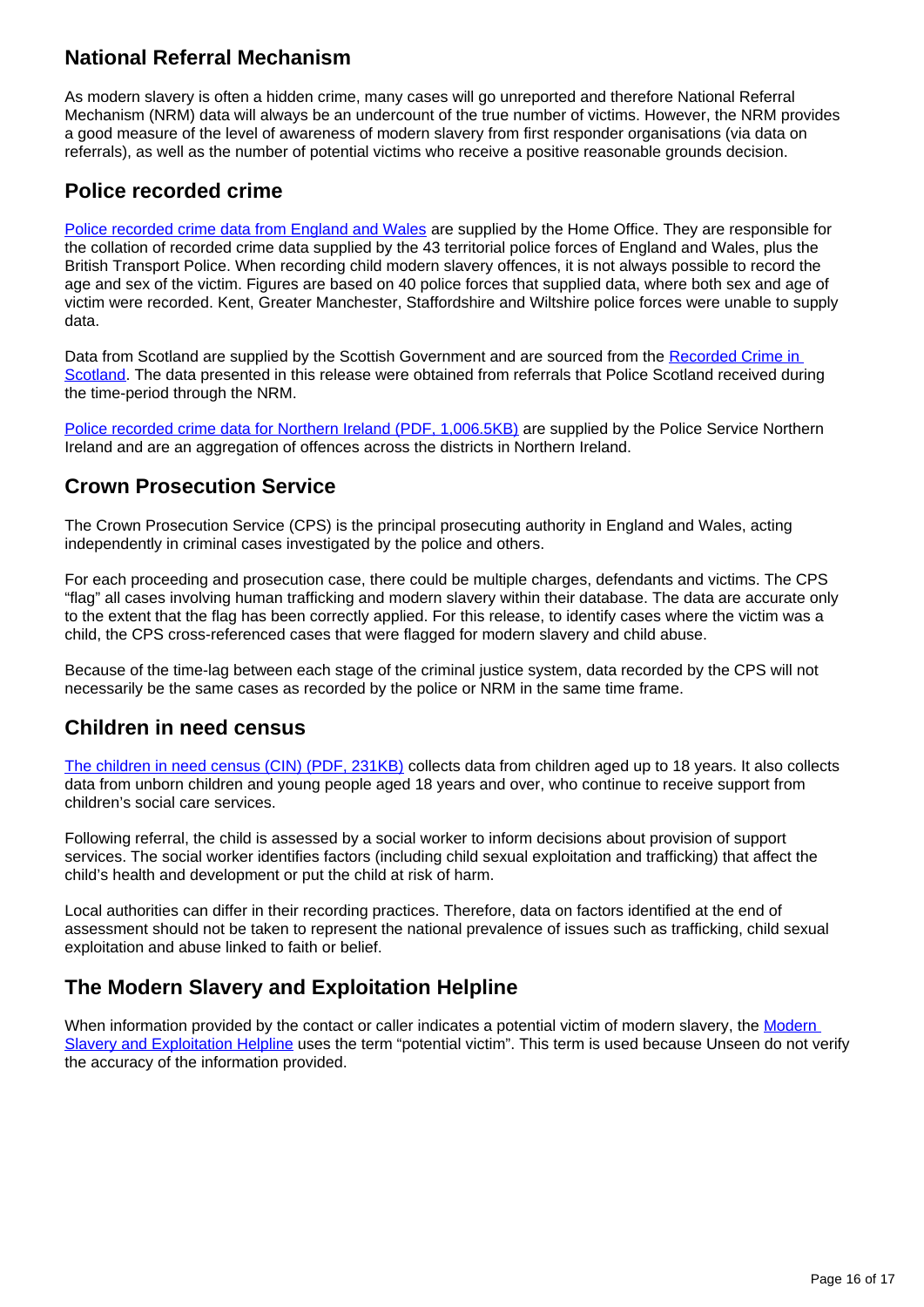### **National Referral Mechanism**

As modern slavery is often a hidden crime, many cases will go unreported and therefore National Referral Mechanism (NRM) data will always be an undercount of the true number of victims. However, the NRM provides a good measure of the level of awareness of modern slavery from first responder organisations (via data on referrals), as well as the number of potential victims who receive a positive reasonable grounds decision.

### **Police recorded crime**

[Police recorded crime data from England and Wales](https://www.ons.gov.uk/peoplepopulationandcommunity/crimeandjustice/methodologies/userguidetocrimestatisticsforenglandandwales#police-recorded-crime) are supplied by the Home Office. They are responsible for the collation of recorded crime data supplied by the 43 territorial police forces of England and Wales, plus the British Transport Police. When recording child modern slavery offences, it is not always possible to record the age and sex of the victim. Figures are based on 40 police forces that supplied data, where both sex and age of victim were recorded. Kent, Greater Manchester, Staffordshire and Wiltshire police forces were unable to supply data.

Data from Scotland are supplied by the Scottish Government and are sourced from the Recorded Crime in [Scotland](https://www.gov.scot/publications/user-guide-recorded-crime-statistics-scotland/). The data presented in this release were obtained from referrals that Police Scotland received during the time-period through the NRM.

[Police recorded crime data for Northern Ireland \(PDF, 1,006.5KB\)](https://www.psni.police.uk/globalassets/inside-the-psni/our-statistics/police-recorded-crime-statistics/documents/crime-user-guide.pdf) are supplied by the Police Service Northern Ireland and are an aggregation of offences across the districts in Northern Ireland.

### **Crown Prosecution Service**

The Crown Prosecution Service (CPS) is the principal prosecuting authority in England and Wales, acting independently in criminal cases investigated by the police and others.

For each proceeding and prosecution case, there could be multiple charges, defendants and victims. The CPS "flag" all cases involving human trafficking and modern slavery within their database. The data are accurate only to the extent that the flag has been correctly applied. For this release, to identify cases where the victim was a child, the CPS cross-referenced cases that were flagged for modern slavery and child abuse.

Because of the time-lag between each stage of the criminal justice system, data recorded by the CPS will not necessarily be the same cases as recorded by the police or NRM in the same time frame.

### **Children in need census**

[The children in need census \(CIN\) \(PDF, 231KB\)](https://assets.publishing.service.gov.uk/government/uploads/system/uploads/attachment_data/file/977581/CIN_Additional_guide_on_the_factors_identified_at_the_end_of_assessment.pdf) collects data from children aged up to 18 years. It also collects data from unborn children and young people aged 18 years and over, who continue to receive support from children's social care services.

Following referral, the child is assessed by a social worker to inform decisions about provision of support services. The social worker identifies factors (including child sexual exploitation and trafficking) that affect the child's health and development or put the child at risk of harm.

Local authorities can differ in their recording practices. Therefore, data on factors identified at the end of assessment should not be taken to represent the national prevalence of issues such as trafficking, child sexual exploitation and abuse linked to faith or belief.

### **The Modern Slavery and Exploitation Helpline**

When information provided by the contact or caller indicates a potential victim of modern slavery, the Modern [Slavery and Exploitation Helpline](https://www.modernslaveryhelpline.org/) uses the term "potential victim". This term is used because Unseen do not verify the accuracy of the information provided.